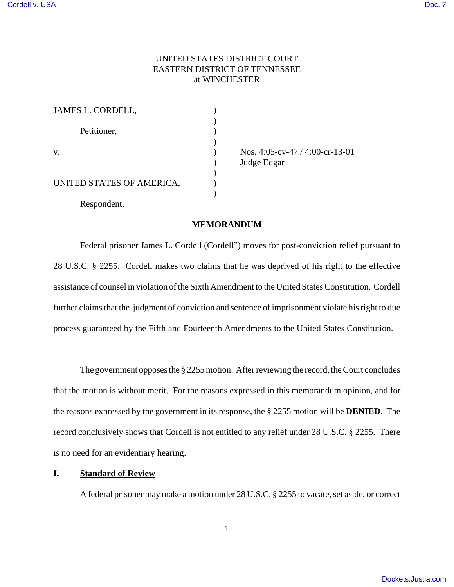## UNITED STATES DISTRICT COURT EASTERN DISTRICT OF TENNESSEE at WINCHESTER

| <b>JAMES L. CORDELL,</b>  |  |
|---------------------------|--|
| Petitioner,               |  |
| V.                        |  |
| UNITED STATES OF AMERICA, |  |
| Respondent.               |  |

v. ) Nos. 4:05-cv-47 / 4:00-cr-13-01 ) Judge Edgar

# **MEMORANDUM**

Federal prisoner James L. Cordell (Cordell") moves for post-conviction relief pursuant to 28 U.S.C. § 2255. Cordell makes two claims that he was deprived of his right to the effective assistance of counsel in violation of the Sixth Amendment to the United States Constitution. Cordell further claims that the judgment of conviction and sentence of imprisonment violate his right to due process guaranteed by the Fifth and Fourteenth Amendments to the United States Constitution.

The government opposes the § 2255 motion. After reviewing the record, the Court concludes that the motion is without merit. For the reasons expressed in this memorandum opinion, and for the reasons expressed by the government in its response, the § 2255 motion will be **DENIED**. The record conclusively shows that Cordell is not entitled to any relief under 28 U.S.C. § 2255. There is no need for an evidentiary hearing.

### **I. Standard of Review**

A federal prisoner may make a motion under 28 U.S.C. § 2255 to vacate, set aside, or correct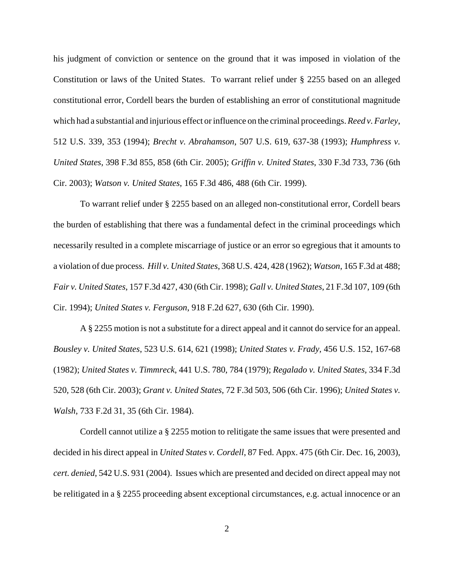his judgment of conviction or sentence on the ground that it was imposed in violation of the Constitution or laws of the United States. To warrant relief under § 2255 based on an alleged constitutional error, Cordell bears the burden of establishing an error of constitutional magnitude which had a substantial and injurious effect or influence on the criminal proceedings. *Reed v. Farley*, 512 U.S. 339, 353 (1994); *Brecht v. Abrahamson*, 507 U.S. 619, 637-38 (1993); *Humphress v. United States*, 398 F.3d 855, 858 (6th Cir. 2005); *Griffin v. United States*, 330 F.3d 733, 736 (6th Cir. 2003); *Watson v. United States*, 165 F.3d 486, 488 (6th Cir. 1999).

To warrant relief under § 2255 based on an alleged non-constitutional error, Cordell bears the burden of establishing that there was a fundamental defect in the criminal proceedings which necessarily resulted in a complete miscarriage of justice or an error so egregious that it amounts to a violation of due process. *Hill v. United States*, 368 U.S. 424, 428 (1962); *Watson*, 165 F.3d at 488; *Fair v. United States*, 157 F.3d 427, 430 (6th Cir. 1998); *Gall v. United States*, 21 F.3d 107, 109 (6th Cir. 1994); *United States v. Ferguson*, 918 F.2d 627, 630 (6th Cir. 1990).

A § 2255 motion is not a substitute for a direct appeal and it cannot do service for an appeal. *Bousley v. United States*, 523 U.S. 614, 621 (1998); *United States v. Frady,* 456 U.S. 152, 167-68 (1982); *United States v. Timmreck*, 441 U.S. 780, 784 (1979); *Regalado v. United States,* 334 F.3d 520, 528 (6th Cir. 2003); *Grant v. United States*, 72 F.3d 503, 506 (6th Cir. 1996); *United States v. Walsh*, 733 F.2d 31, 35 (6th Cir. 1984).

Cordell cannot utilize a § 2255 motion to relitigate the same issues that were presented and decided in his direct appeal in *United States v. Cordell*, 87 Fed. Appx. 475 (6th Cir. Dec. 16, 2003), *cert. denied*, 542 U.S. 931 (2004). Issues which are presented and decided on direct appeal may not be relitigated in a § 2255 proceeding absent exceptional circumstances, e.g. actual innocence or an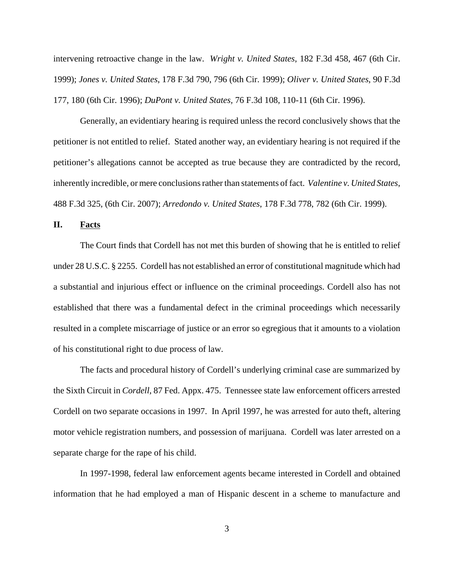intervening retroactive change in the law. *Wright v. United States*, 182 F.3d 458, 467 (6th Cir. 1999); *Jones v. United States*, 178 F.3d 790, 796 (6th Cir. 1999); *Oliver v. United States*, 90 F.3d 177, 180 (6th Cir. 1996); *DuPont v. United States,* 76 F.3d 108, 110-11 (6th Cir. 1996).

Generally, an evidentiary hearing is required unless the record conclusively shows that the petitioner is not entitled to relief. Stated another way, an evidentiary hearing is not required if the petitioner's allegations cannot be accepted as true because they are contradicted by the record, inherently incredible, or mere conclusions rather than statements of fact. *Valentine v. United States*, 488 F.3d 325, (6th Cir. 2007); *Arredondo v. United States*, 178 F.3d 778, 782 (6th Cir. 1999).

## **II. Facts**

The Court finds that Cordell has not met this burden of showing that he is entitled to relief under 28 U.S.C. § 2255. Cordell has not established an error of constitutional magnitude which had a substantial and injurious effect or influence on the criminal proceedings. Cordell also has not established that there was a fundamental defect in the criminal proceedings which necessarily resulted in a complete miscarriage of justice or an error so egregious that it amounts to a violation of his constitutional right to due process of law.

The facts and procedural history of Cordell's underlying criminal case are summarized by the Sixth Circuit in *Cordell*, 87 Fed. Appx. 475. Tennessee state law enforcement officers arrested Cordell on two separate occasions in 1997. In April 1997, he was arrested for auto theft, altering motor vehicle registration numbers, and possession of marijuana. Cordell was later arrested on a separate charge for the rape of his child.

In 1997-1998, federal law enforcement agents became interested in Cordell and obtained information that he had employed a man of Hispanic descent in a scheme to manufacture and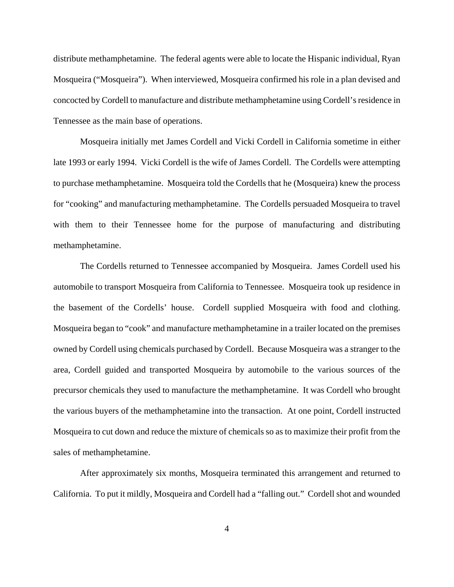distribute methamphetamine. The federal agents were able to locate the Hispanic individual, Ryan Mosqueira ("Mosqueira"). When interviewed, Mosqueira confirmed his role in a plan devised and concocted by Cordell to manufacture and distribute methamphetamine using Cordell's residence in Tennessee as the main base of operations.

Mosqueira initially met James Cordell and Vicki Cordell in California sometime in either late 1993 or early 1994. Vicki Cordell is the wife of James Cordell. The Cordells were attempting to purchase methamphetamine. Mosqueira told the Cordells that he (Mosqueira) knew the process for "cooking" and manufacturing methamphetamine. The Cordells persuaded Mosqueira to travel with them to their Tennessee home for the purpose of manufacturing and distributing methamphetamine.

The Cordells returned to Tennessee accompanied by Mosqueira. James Cordell used his automobile to transport Mosqueira from California to Tennessee. Mosqueira took up residence in the basement of the Cordells' house. Cordell supplied Mosqueira with food and clothing. Mosqueira began to "cook" and manufacture methamphetamine in a trailer located on the premises owned by Cordell using chemicals purchased by Cordell. Because Mosqueira was a stranger to the area, Cordell guided and transported Mosqueira by automobile to the various sources of the precursor chemicals they used to manufacture the methamphetamine. It was Cordell who brought the various buyers of the methamphetamine into the transaction. At one point, Cordell instructed Mosqueira to cut down and reduce the mixture of chemicals so as to maximize their profit from the sales of methamphetamine.

After approximately six months, Mosqueira terminated this arrangement and returned to California. To put it mildly, Mosqueira and Cordell had a "falling out." Cordell shot and wounded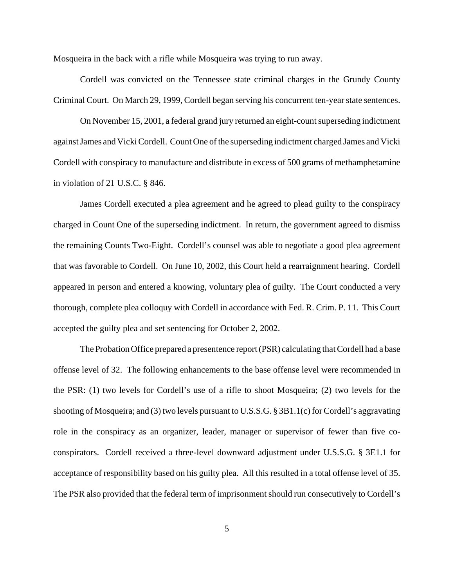Mosqueira in the back with a rifle while Mosqueira was trying to run away.

Cordell was convicted on the Tennessee state criminal charges in the Grundy County Criminal Court. On March 29, 1999, Cordell began serving his concurrent ten-year state sentences.

On November 15, 2001, a federal grand jury returned an eight-count superseding indictment against James and Vicki Cordell. Count One of the superseding indictment charged James and Vicki Cordell with conspiracy to manufacture and distribute in excess of 500 grams of methamphetamine in violation of 21 U.S.C. § 846.

James Cordell executed a plea agreement and he agreed to plead guilty to the conspiracy charged in Count One of the superseding indictment. In return, the government agreed to dismiss the remaining Counts Two-Eight. Cordell's counsel was able to negotiate a good plea agreement that was favorable to Cordell. On June 10, 2002, this Court held a rearraignment hearing. Cordell appeared in person and entered a knowing, voluntary plea of guilty. The Court conducted a very thorough, complete plea colloquy with Cordell in accordance with Fed. R. Crim. P. 11. This Court accepted the guilty plea and set sentencing for October 2, 2002.

The Probation Office prepared a presentence report (PSR) calculating that Cordell had a base offense level of 32. The following enhancements to the base offense level were recommended in the PSR: (1) two levels for Cordell's use of a rifle to shoot Mosqueira; (2) two levels for the shooting of Mosqueira; and (3) two levels pursuant to U.S.S.G. § 3B1.1(c) for Cordell's aggravating role in the conspiracy as an organizer, leader, manager or supervisor of fewer than five coconspirators. Cordell received a three-level downward adjustment under U.S.S.G. § 3E1.1 for acceptance of responsibility based on his guilty plea. All this resulted in a total offense level of 35. The PSR also provided that the federal term of imprisonment should run consecutively to Cordell's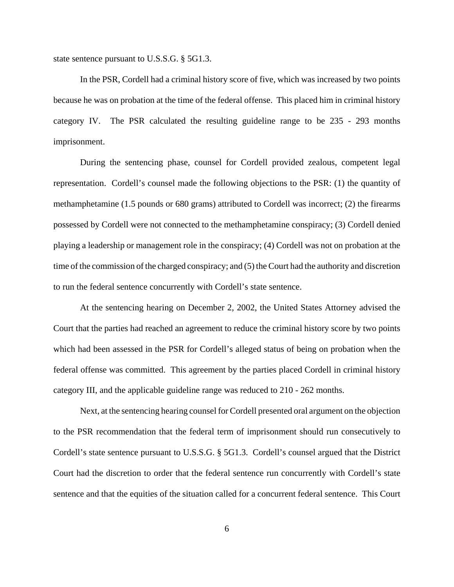state sentence pursuant to U.S.S.G. § 5G1.3.

In the PSR, Cordell had a criminal history score of five, which was increased by two points because he was on probation at the time of the federal offense. This placed him in criminal history category IV. The PSR calculated the resulting guideline range to be 235 - 293 months imprisonment.

During the sentencing phase, counsel for Cordell provided zealous, competent legal representation. Cordell's counsel made the following objections to the PSR: (1) the quantity of methamphetamine (1.5 pounds or 680 grams) attributed to Cordell was incorrect; (2) the firearms possessed by Cordell were not connected to the methamphetamine conspiracy; (3) Cordell denied playing a leadership or management role in the conspiracy; (4) Cordell was not on probation at the time of the commission of the charged conspiracy; and (5) the Court had the authority and discretion to run the federal sentence concurrently with Cordell's state sentence.

At the sentencing hearing on December 2, 2002, the United States Attorney advised the Court that the parties had reached an agreement to reduce the criminal history score by two points which had been assessed in the PSR for Cordell's alleged status of being on probation when the federal offense was committed. This agreement by the parties placed Cordell in criminal history category III, and the applicable guideline range was reduced to 210 - 262 months.

Next, at the sentencing hearing counsel for Cordell presented oral argument on the objection to the PSR recommendation that the federal term of imprisonment should run consecutively to Cordell's state sentence pursuant to U.S.S.G. § 5G1.3. Cordell's counsel argued that the District Court had the discretion to order that the federal sentence run concurrently with Cordell's state sentence and that the equities of the situation called for a concurrent federal sentence. This Court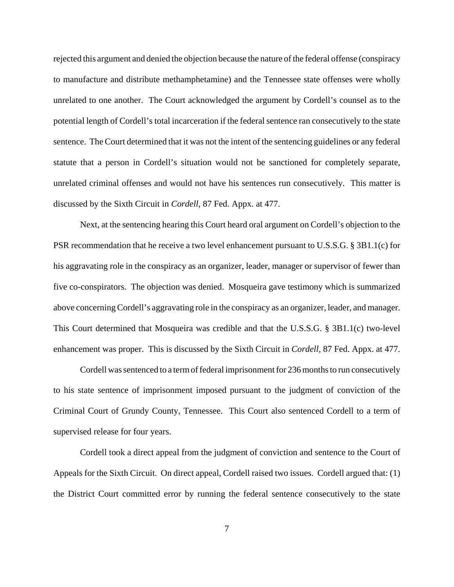rejected this argument and denied the objection because the nature of the federal offense (conspiracy to manufacture and distribute methamphetamine) and the Tennessee state offenses were wholly unrelated to one another. The Court acknowledged the argument by Cordell's counsel as to the potential length of Cordell's total incarceration if the federal sentence ran consecutively to the state sentence. The Court determined that it was not the intent of the sentencing guidelines or any federal statute that a person in Cordell's situation would not be sanctioned for completely separate, unrelated criminal offenses and would not have his sentences run consecutively. This matter is discussed by the Sixth Circuit in *Cordell*, 87 Fed. Appx. at 477.

Next, at the sentencing hearing this Court heard oral argument on Cordell's objection to the PSR recommendation that he receive a two level enhancement pursuant to U.S.S.G. § 3B1.1(c) for his aggravating role in the conspiracy as an organizer, leader, manager or supervisor of fewer than five co-conspirators. The objection was denied. Mosqueira gave testimony which is summarized above concerning Cordell's aggravating role in the conspiracy as an organizer, leader, and manager. This Court determined that Mosqueira was credible and that the U.S.S.G. § 3B1.1(c) two-level enhancement was proper. This is discussed by the Sixth Circuit in *Cordell*, 87 Fed. Appx. at 477.

Cordell was sentenced to a term of federal imprisonment for 236 months to run consecutively to his state sentence of imprisonment imposed pursuant to the judgment of conviction of the Criminal Court of Grundy County, Tennessee. This Court also sentenced Cordell to a term of supervised release for four years.

Cordell took a direct appeal from the judgment of conviction and sentence to the Court of Appeals for the Sixth Circuit. On direct appeal, Cordell raised two issues. Cordell argued that: (1) the District Court committed error by running the federal sentence consecutively to the state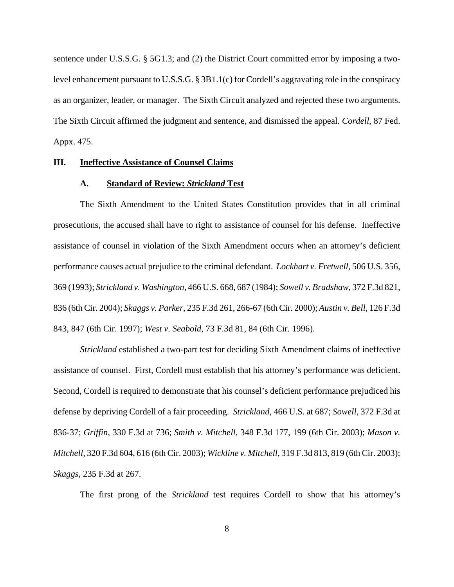sentence under U.S.S.G. § 5G1.3; and (2) the District Court committed error by imposing a twolevel enhancement pursuant to U.S.S.G. § 3B1.1(c) for Cordell's aggravating role in the conspiracy as an organizer, leader, or manager. The Sixth Circuit analyzed and rejected these two arguments. The Sixth Circuit affirmed the judgment and sentence, and dismissed the appeal. *Cordell*, 87 Fed. Appx. 475.

#### **III. Ineffective Assistance of Counsel Claims**

### **A. Standard of Review:** *Strickland* **Test**

The Sixth Amendment to the United States Constitution provides that in all criminal prosecutions, the accused shall have to right to assistance of counsel for his defense. Ineffective assistance of counsel in violation of the Sixth Amendment occurs when an attorney's deficient performance causes actual prejudice to the criminal defendant. *Lockhart v. Fretwell*, 506 U.S. 356, 369 (1993); *Strickland v. Washington*, 466 U.S. 668, 687 (1984); *Sowell v. Bradshaw*, 372 F.3d 821, 836 (6th Cir. 2004); *Skaggs v. Parker*, 235 F.3d 261, 266-67 (6th Cir. 2000); *Austin v. Bell*, 126 F.3d 843, 847 (6th Cir. 1997); *West v. Seabold*, 73 F.3d 81, 84 (6th Cir. 1996).

*Strickland* established a two-part test for deciding Sixth Amendment claims of ineffective assistance of counsel. First, Cordell must establish that his attorney's performance was deficient. Second, Cordell is required to demonstrate that his counsel's deficient performance prejudiced his defense by depriving Cordell of a fair proceeding. *Strickland*, 466 U.S. at 687; *Sowell*, 372 F.3d at 836-37; *Griffin*, 330 F.3d at 736; *Smith v. Mitchell,* 348 F.3d 177, 199 (6th Cir. 2003); *Mason v. Mitchell,* 320 F.3d 604, 616 (6th Cir. 2003); *Wickline v. Mitchell,* 319 F.3d 813, 819 (6th Cir. 2003); *Skaggs*, 235 F.3d at 267.

The first prong of the *Strickland* test requires Cordell to show that his attorney's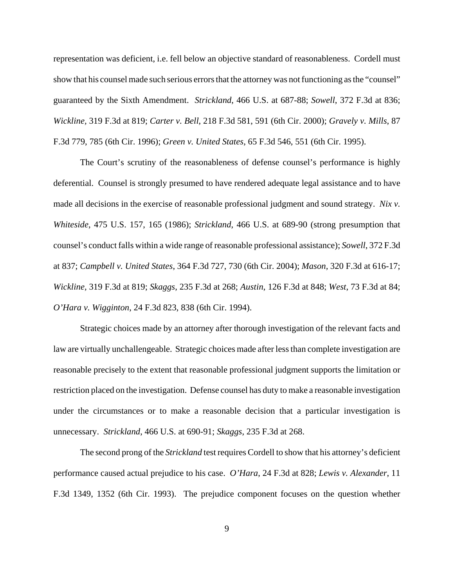representation was deficient, i.e. fell below an objective standard of reasonableness. Cordell must show that his counsel made such serious errors that the attorney was not functioning as the "counsel" guaranteed by the Sixth Amendment. *Strickland*, 466 U.S. at 687-88; *Sowell*, 372 F.3d at 836; *Wickline,* 319 F.3d at 819; *Carter v. Bell*, 218 F.3d 581, 591 (6th Cir. 2000); *Gravely v. Mills*, 87 F.3d 779, 785 (6th Cir. 1996); *Green v. United States*, 65 F.3d 546, 551 (6th Cir. 1995).

The Court's scrutiny of the reasonableness of defense counsel's performance is highly deferential. Counsel is strongly presumed to have rendered adequate legal assistance and to have made all decisions in the exercise of reasonable professional judgment and sound strategy. *Nix v. Whiteside*, 475 U.S. 157, 165 (1986); *Strickland*, 466 U.S. at 689-90 (strong presumption that counsel's conduct falls within a wide range of reasonable professional assistance); *Sowell*, 372 F.3d at 837; *Campbell v. United States*, 364 F.3d 727, 730 (6th Cir. 2004); *Mason,* 320 F.3d at 616-17; *Wickline,* 319 F.3d at 819; *Skaggs*, 235 F.3d at 268; *Austin*, 126 F.3d at 848; *West*, 73 F.3d at 84; *O'Hara v. Wigginton*, 24 F.3d 823, 838 (6th Cir. 1994).

Strategic choices made by an attorney after thorough investigation of the relevant facts and law are virtually unchallengeable. Strategic choices made after less than complete investigation are reasonable precisely to the extent that reasonable professional judgment supports the limitation or restriction placed on the investigation. Defense counsel has duty to make a reasonable investigation under the circumstances or to make a reasonable decision that a particular investigation is unnecessary. *Strickland*, 466 U.S. at 690-91; *Skaggs*, 235 F.3d at 268.

The second prong of the *Strickland* test requires Cordell to show that his attorney's deficient performance caused actual prejudice to his case. *O'Hara*, 24 F.3d at 828; *Lewis v. Alexander*, 11 F.3d 1349, 1352 (6th Cir. 1993). The prejudice component focuses on the question whether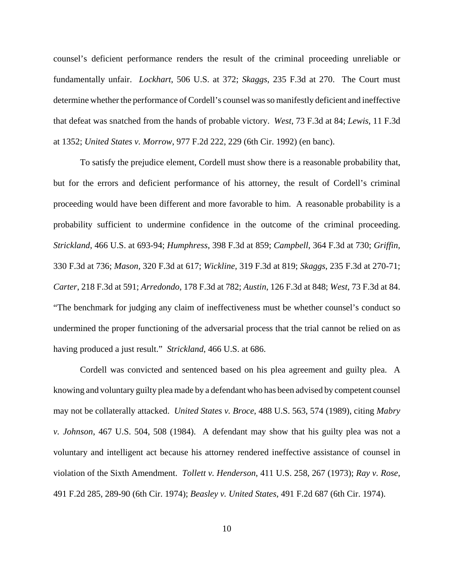counsel's deficient performance renders the result of the criminal proceeding unreliable or fundamentally unfair. *Lockhart*, 506 U.S. at 372; *Skaggs*, 235 F.3d at 270. The Court must determine whether the performance of Cordell's counsel was so manifestly deficient and ineffective that defeat was snatched from the hands of probable victory. *West*, 73 F.3d at 84; *Lewis*, 11 F.3d at 1352; *United States v. Morrow*, 977 F.2d 222, 229 (6th Cir. 1992) (en banc).

To satisfy the prejudice element, Cordell must show there is a reasonable probability that, but for the errors and deficient performance of his attorney, the result of Cordell's criminal proceeding would have been different and more favorable to him. A reasonable probability is a probability sufficient to undermine confidence in the outcome of the criminal proceeding. *Strickland*, 466 U.S. at 693-94; *Humphress*, 398 F.3d at 859; *Campbell*, 364 F.3d at 730; *Griffin*, 330 F.3d at 736; *Mason,* 320 F.3d at 617; *Wickline,* 319 F.3d at 819; *Skaggs*, 235 F.3d at 270-71; *Carter*, 218 F.3d at 591; *Arredondo*, 178 F.3d at 782; *Austin*, 126 F.3d at 848; *West*, 73 F.3d at 84. "The benchmark for judging any claim of ineffectiveness must be whether counsel's conduct so undermined the proper functioning of the adversarial process that the trial cannot be relied on as having produced a just result." *Strickland*, 466 U.S. at 686.

Cordell was convicted and sentenced based on his plea agreement and guilty plea. A knowing and voluntary guilty plea made by a defendant who has been advised by competent counsel may not be collaterally attacked. *United States v. Broce*, 488 U.S. 563, 574 (1989), citing *Mabry v. Johnson*, 467 U.S. 504, 508 (1984). A defendant may show that his guilty plea was not a voluntary and intelligent act because his attorney rendered ineffective assistance of counsel in violation of the Sixth Amendment. *Tollett v. Henderson*, 411 U.S. 258, 267 (1973); *Ray v. Rose*, 491 F.2d 285, 289-90 (6th Cir. 1974); *Beasley v. United States*, 491 F.2d 687 (6th Cir. 1974).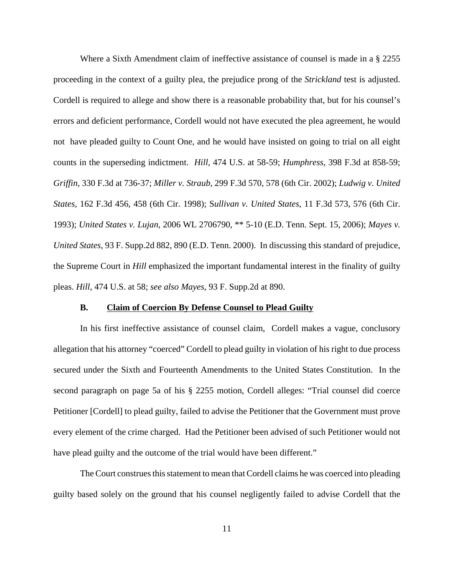Where a Sixth Amendment claim of ineffective assistance of counsel is made in a § 2255 proceeding in the context of a guilty plea, the prejudice prong of the *Strickland* test is adjusted. Cordell is required to allege and show there is a reasonable probability that, but for his counsel's errors and deficient performance, Cordell would not have executed the plea agreement, he would not have pleaded guilty to Count One, and he would have insisted on going to trial on all eight counts in the superseding indictment. *Hill*, 474 U.S. at 58-59; *Humphress*, 398 F.3d at 858-59; *Griffin*, 330 F.3d at 736-37; *Miller v. Straub*, 299 F.3d 570, 578 (6th Cir. 2002); *Ludwig v. United States*, 162 F.3d 456, 458 (6th Cir. 1998); S*ullivan v. United States*, 11 F.3d 573, 576 (6th Cir. 1993); *United States v. Lujan*, 2006 WL 2706790, \*\* 5-10 (E.D. Tenn. Sept. 15, 2006); *Mayes v. United States*, 93 F. Supp.2d 882, 890 (E.D. Tenn. 2000). In discussing this standard of prejudice, the Supreme Court in *Hill* emphasized the important fundamental interest in the finality of guilty pleas. *Hill*, 474 U.S. at 58; *see also Mayes*, 93 F. Supp.2d at 890.

### **B. Claim of Coercion By Defense Counsel to Plead Guilty**

In his first ineffective assistance of counsel claim, Cordell makes a vague, conclusory allegation that his attorney "coerced" Cordell to plead guilty in violation of his right to due process secured under the Sixth and Fourteenth Amendments to the United States Constitution. In the second paragraph on page 5a of his § 2255 motion, Cordell alleges: "Trial counsel did coerce Petitioner [Cordell] to plead guilty, failed to advise the Petitioner that the Government must prove every element of the crime charged. Had the Petitioner been advised of such Petitioner would not have plead guilty and the outcome of the trial would have been different."

The Court construes this statement to mean that Cordell claims he was coerced into pleading guilty based solely on the ground that his counsel negligently failed to advise Cordell that the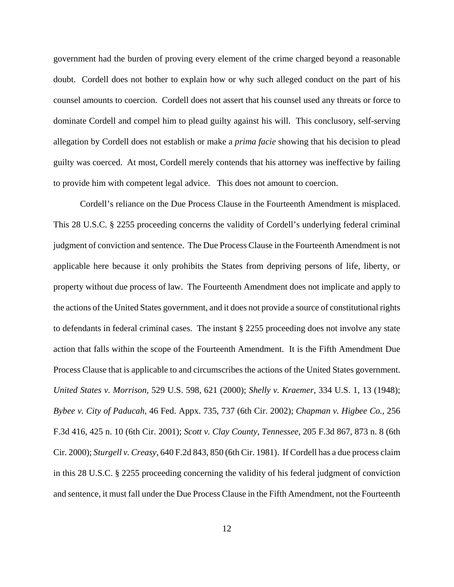government had the burden of proving every element of the crime charged beyond a reasonable doubt. Cordell does not bother to explain how or why such alleged conduct on the part of his counsel amounts to coercion. Cordell does not assert that his counsel used any threats or force to dominate Cordell and compel him to plead guilty against his will. This conclusory, self-serving allegation by Cordell does not establish or make a *prima facie* showing that his decision to plead guilty was coerced. At most, Cordell merely contends that his attorney was ineffective by failing to provide him with competent legal advice. This does not amount to coercion.

Cordell's reliance on the Due Process Clause in the Fourteenth Amendment is misplaced. This 28 U.S.C. § 2255 proceeding concerns the validity of Cordell's underlying federal criminal judgment of conviction and sentence. The Due Process Clause in the Fourteenth Amendment is not applicable here because it only prohibits the States from depriving persons of life, liberty, or property without due process of law. The Fourteenth Amendment does not implicate and apply to the actions of the United States government, and it does not provide a source of constitutional rights to defendants in federal criminal cases. The instant § 2255 proceeding does not involve any state action that falls within the scope of the Fourteenth Amendment. It is the Fifth Amendment Due Process Clause that is applicable to and circumscribes the actions of the United States government. *United States v. Morrison*, 529 U.S. 598, 621 (2000); *Shelly v. Kraemer*, 334 U.S. 1, 13 (1948); *Bybee v. City of Paducah*, 46 Fed. Appx. 735, 737 (6th Cir. 2002); *Chapman v. Higbee Co.*, 256 F.3d 416, 425 n. 10 (6th Cir. 2001); *Scott v. Clay County, Tennessee*, 205 F.3d 867, 873 n. 8 (6th Cir. 2000); *Sturgell v. Creasy*, 640 F.2d 843, 850 (6th Cir. 1981). If Cordell has a due process claim in this 28 U.S.C. § 2255 proceeding concerning the validity of his federal judgment of conviction and sentence, it must fall under the Due Process Clause in the Fifth Amendment, not the Fourteenth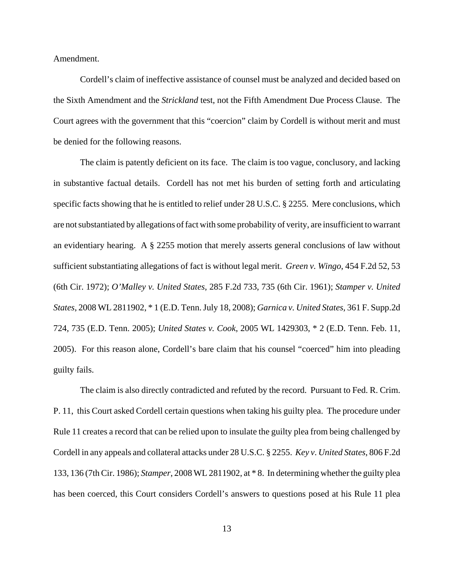Amendment.

Cordell's claim of ineffective assistance of counsel must be analyzed and decided based on the Sixth Amendment and the *Strickland* test, not the Fifth Amendment Due Process Clause. The Court agrees with the government that this "coercion" claim by Cordell is without merit and must be denied for the following reasons.

The claim is patently deficient on its face. The claim is too vague, conclusory, and lacking in substantive factual details. Cordell has not met his burden of setting forth and articulating specific facts showing that he is entitled to relief under 28 U.S.C. § 2255. Mere conclusions, which are not substantiated by allegations of fact with some probability of verity, are insufficient to warrant an evidentiary hearing. A  $\S$  2255 motion that merely asserts general conclusions of law without sufficient substantiating allegations of fact is without legal merit. *Green v. Wingo*, 454 F.2d 52, 53 (6th Cir. 1972); *O'Malley v. United States*, 285 F.2d 733, 735 (6th Cir. 1961); *Stamper v. United States*, 2008 WL 2811902, \* 1 (E.D. Tenn. July 18, 2008); *Garnica v. United States,* 361 F. Supp.2d 724, 735 (E.D. Tenn. 2005); *United States v. Cook*, 2005 WL 1429303, \* 2 (E.D. Tenn. Feb. 11, 2005). For this reason alone, Cordell's bare claim that his counsel "coerced" him into pleading guilty fails.

The claim is also directly contradicted and refuted by the record. Pursuant to Fed. R. Crim. P. 11, this Court asked Cordell certain questions when taking his guilty plea. The procedure under Rule 11 creates a record that can be relied upon to insulate the guilty plea from being challenged by Cordell in any appeals and collateral attacks under 28 U.S.C. § 2255. *Key v*. *United States*, 806 F.2d 133, 136 (7th Cir. 1986); *Stamper*, 2008 WL 2811902, at \* 8. In determining whether the guilty plea has been coerced, this Court considers Cordell's answers to questions posed at his Rule 11 plea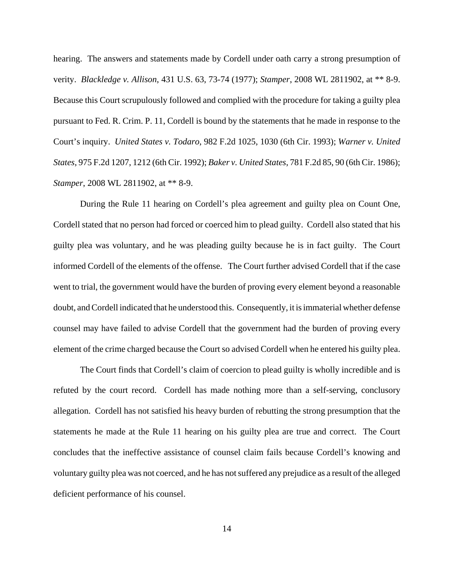hearing. The answers and statements made by Cordell under oath carry a strong presumption of verity. *Blackledge v. Allison*, 431 U.S. 63, 73-74 (1977); *Stamper*, 2008 WL 2811902, at \*\* 8-9. Because this Court scrupulously followed and complied with the procedure for taking a guilty plea pursuant to Fed. R. Crim. P. 11, Cordell is bound by the statements that he made in response to the Court's inquiry. *United States v. Todaro*, 982 F.2d 1025, 1030 (6th Cir. 1993); *Warner v. United States*, 975 F.2d 1207, 1212 (6th Cir. 1992); *Baker v. United States*, 781 F.2d 85, 90 (6th Cir. 1986); *Stamper*, 2008 WL 2811902, at \*\* 8-9.

During the Rule 11 hearing on Cordell's plea agreement and guilty plea on Count One, Cordell stated that no person had forced or coerced him to plead guilty. Cordell also stated that his guilty plea was voluntary, and he was pleading guilty because he is in fact guilty. The Court informed Cordell of the elements of the offense. The Court further advised Cordell that if the case went to trial, the government would have the burden of proving every element beyond a reasonable doubt, and Cordell indicated that he understood this. Consequently, it is immaterial whether defense counsel may have failed to advise Cordell that the government had the burden of proving every element of the crime charged because the Court so advised Cordell when he entered his guilty plea.

The Court finds that Cordell's claim of coercion to plead guilty is wholly incredible and is refuted by the court record. Cordell has made nothing more than a self-serving, conclusory allegation. Cordell has not satisfied his heavy burden of rebutting the strong presumption that the statements he made at the Rule 11 hearing on his guilty plea are true and correct. The Court concludes that the ineffective assistance of counsel claim fails because Cordell's knowing and voluntary guilty plea was not coerced, and he has not suffered any prejudice as a result of the alleged deficient performance of his counsel.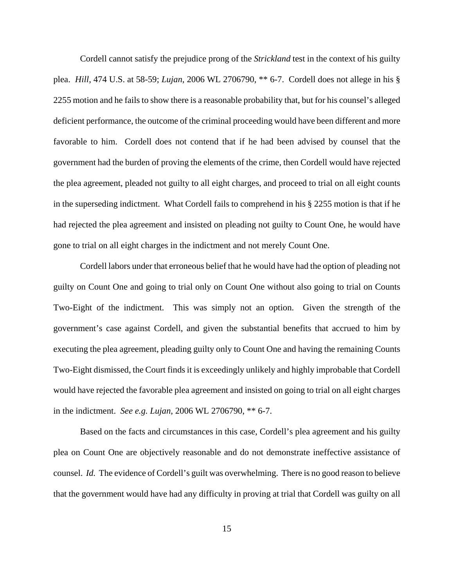Cordell cannot satisfy the prejudice prong of the *Strickland* test in the context of his guilty plea. *Hill*, 474 U.S. at 58-59; *Lujan*, 2006 WL 2706790, \*\* 6-7. Cordell does not allege in his § 2255 motion and he fails to show there is a reasonable probability that, but for his counsel's alleged deficient performance, the outcome of the criminal proceeding would have been different and more favorable to him. Cordell does not contend that if he had been advised by counsel that the government had the burden of proving the elements of the crime, then Cordell would have rejected the plea agreement, pleaded not guilty to all eight charges, and proceed to trial on all eight counts in the superseding indictment. What Cordell fails to comprehend in his § 2255 motion is that if he had rejected the plea agreement and insisted on pleading not guilty to Count One, he would have gone to trial on all eight charges in the indictment and not merely Count One.

Cordell labors under that erroneous belief that he would have had the option of pleading not guilty on Count One and going to trial only on Count One without also going to trial on Counts Two-Eight of the indictment. This was simply not an option. Given the strength of the government's case against Cordell, and given the substantial benefits that accrued to him by executing the plea agreement, pleading guilty only to Count One and having the remaining Counts Two-Eight dismissed, the Court finds it is exceedingly unlikely and highly improbable that Cordell would have rejected the favorable plea agreement and insisted on going to trial on all eight charges in the indictment. *See e.g. Lujan*, 2006 WL 2706790, \*\* 6-7.

Based on the facts and circumstances in this case, Cordell's plea agreement and his guilty plea on Count One are objectively reasonable and do not demonstrate ineffective assistance of counsel. *Id.* The evidence of Cordell's guilt was overwhelming. There is no good reason to believe that the government would have had any difficulty in proving at trial that Cordell was guilty on all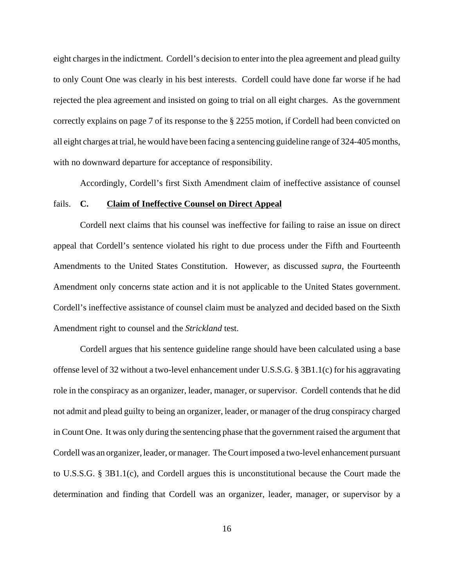eight charges in the indictment. Cordell's decision to enter into the plea agreement and plead guilty to only Count One was clearly in his best interests. Cordell could have done far worse if he had rejected the plea agreement and insisted on going to trial on all eight charges. As the government correctly explains on page 7 of its response to the § 2255 motion, if Cordell had been convicted on all eight charges at trial, he would have been facing a sentencing guideline range of 324-405 months, with no downward departure for acceptance of responsibility.

Accordingly, Cordell's first Sixth Amendment claim of ineffective assistance of counsel

### fails. **C. Claim of Ineffective Counsel on Direct Appeal**

Cordell next claims that his counsel was ineffective for failing to raise an issue on direct appeal that Cordell's sentence violated his right to due process under the Fifth and Fourteenth Amendments to the United States Constitution. However, as discussed *supra*, the Fourteenth Amendment only concerns state action and it is not applicable to the United States government. Cordell's ineffective assistance of counsel claim must be analyzed and decided based on the Sixth Amendment right to counsel and the *Strickland* test.

Cordell argues that his sentence guideline range should have been calculated using a base offense level of 32 without a two-level enhancement under U.S.S.G. § 3B1.1(c) for his aggravating role in the conspiracy as an organizer, leader, manager, or supervisor. Cordell contends that he did not admit and plead guilty to being an organizer, leader, or manager of the drug conspiracy charged in Count One. It was only during the sentencing phase that the government raised the argument that Cordell was an organizer, leader, or manager. The Court imposed a two-level enhancement pursuant to U.S.S.G. § 3B1.1(c), and Cordell argues this is unconstitutional because the Court made the determination and finding that Cordell was an organizer, leader, manager, or supervisor by a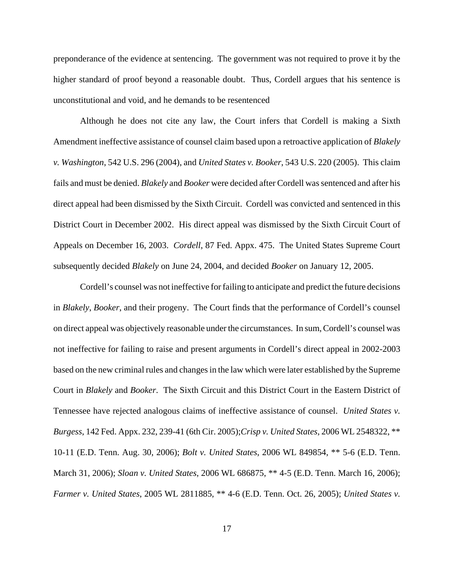preponderance of the evidence at sentencing. The government was not required to prove it by the higher standard of proof beyond a reasonable doubt. Thus, Cordell argues that his sentence is unconstitutional and void, and he demands to be resentenced

Although he does not cite any law, the Court infers that Cordell is making a Sixth Amendment ineffective assistance of counsel claim based upon a retroactive application of *Blakely v. Washington*, 542 U.S. 296 (2004), and *United States v. Booker*, 543 U.S. 220 (2005). This claim fails and must be denied. *Blakely* and *Booker* were decided after Cordell was sentenced and after his direct appeal had been dismissed by the Sixth Circuit. Cordell was convicted and sentenced in this District Court in December 2002. His direct appeal was dismissed by the Sixth Circuit Court of Appeals on December 16, 2003. *Cordell*, 87 Fed. Appx. 475. The United States Supreme Court subsequently decided *Blakely* on June 24, 2004, and decided *Booker* on January 12, 2005.

Cordell's counsel was not ineffective for failing to anticipate and predict the future decisions in *Blakely*, *Booker*, and their progeny. The Court finds that the performance of Cordell's counsel on direct appeal was objectively reasonable under the circumstances. In sum, Cordell's counsel was not ineffective for failing to raise and present arguments in Cordell's direct appeal in 2002-2003 based on the new criminal rules and changes in the law which were later established by the Supreme Court in *Blakely* and *Booker*. The Sixth Circuit and this District Court in the Eastern District of Tennessee have rejected analogous claims of ineffective assistance of counsel. *United States v. Burgess*, 142 Fed. Appx. 232, 239-41 (6th Cir. 2005);*Crisp v. United States*, 2006 WL 2548322, \*\* 10-11 (E.D. Tenn. Aug. 30, 2006); *Bolt v. United States*, 2006 WL 849854, \*\* 5-6 (E.D. Tenn. March 31, 2006); *Sloan v. United States*, 2006 WL 686875, \*\* 4-5 (E.D. Tenn. March 16, 2006); *Farmer v. United States*, 2005 WL 2811885, \*\* 4-6 (E.D. Tenn. Oct. 26, 2005); *United States v.*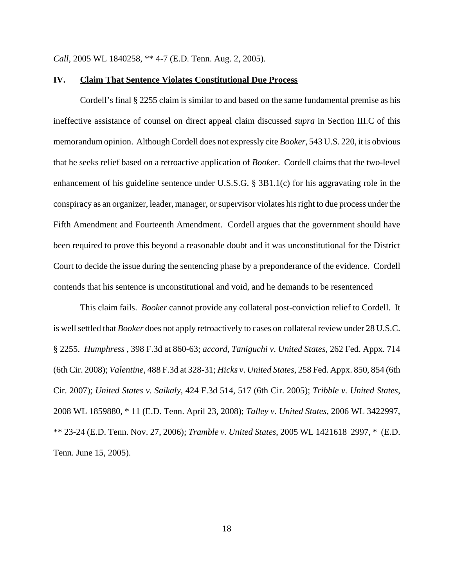*Call*, 2005 WL 1840258, \*\* 4-7 (E.D. Tenn. Aug. 2, 2005).

#### **IV. Claim That Sentence Violates Constitutional Due Process**

Cordell's final § 2255 claim is similar to and based on the same fundamental premise as his ineffective assistance of counsel on direct appeal claim discussed *supra* in Section III.C of this memorandum opinion. Although Cordell does not expressly cite *Booker*, 543 U.S. 220, it is obvious that he seeks relief based on a retroactive application of *Booker*. Cordell claims that the two-level enhancement of his guideline sentence under U.S.S.G. § 3B1.1(c) for his aggravating role in the conspiracy as an organizer, leader, manager, or supervisor violates his right to due process under the Fifth Amendment and Fourteenth Amendment. Cordell argues that the government should have been required to prove this beyond a reasonable doubt and it was unconstitutional for the District Court to decide the issue during the sentencing phase by a preponderance of the evidence. Cordell contends that his sentence is unconstitutional and void, and he demands to be resentenced

This claim fails. *Booker* cannot provide any collateral post-conviction relief to Cordell. It is well settled that *Booker* does not apply retroactively to cases on collateral review under 28 U.S.C. § 2255. *Humphress* , 398 F.3d at 860-63; *accord, Taniguchi v*. *United States*, 262 Fed. Appx. 714 (6th Cir. 2008); *Valentine*, 488 F.3d at 328-31; *Hicks v*. *United States*, 258 Fed. Appx. 850, 854 (6th Cir. 2007); *United States v. Saikaly*, 424 F.3d 514, 517 (6th Cir. 2005); *Tribble v. United States*, 2008 WL 1859880, \* 11 (E.D. Tenn. April 23, 2008); *Talley v. United States*, 2006 WL 3422997, \*\* 23-24 (E.D. Tenn. Nov. 27, 2006); *Tramble v. United States*, 2005 WL 1421618 2997, \* (E.D. Tenn. June 15, 2005).